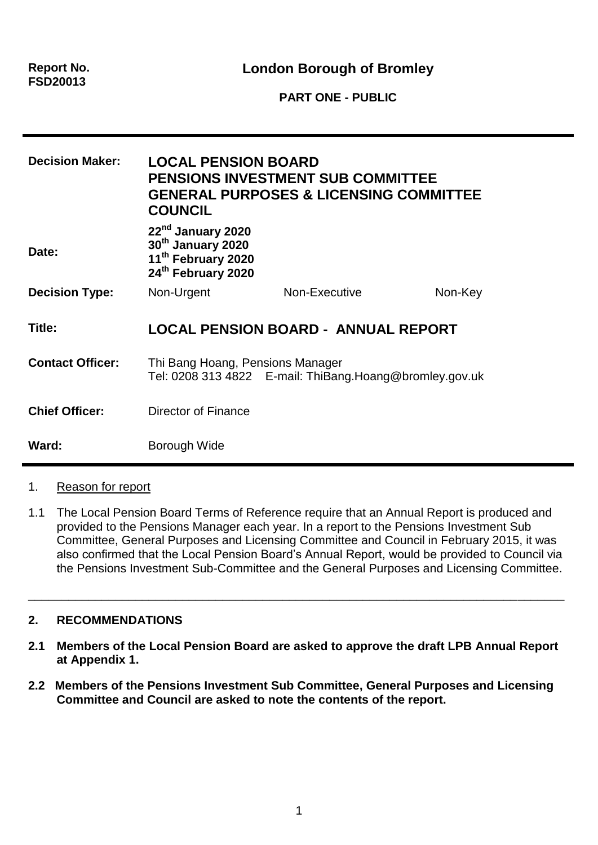**Report No. FSD20013**

**London Borough of Bromley**

**PART ONE - PUBLIC**

| <b>Decision Maker:</b><br>Date: | <b>LOCAL PENSION BOARD</b><br><b>PENSIONS INVESTMENT SUB COMMITTEE</b><br><b>GENERAL PURPOSES &amp; LICENSING COMMITTEE</b><br><b>COUNCIL</b><br>22nd January 2020<br>30 <sup>th</sup> January 2020<br>11 <sup>th</sup> February 2020<br>24th February 2020 |                                            |         |
|---------------------------------|-------------------------------------------------------------------------------------------------------------------------------------------------------------------------------------------------------------------------------------------------------------|--------------------------------------------|---------|
| <b>Decision Type:</b>           | Non-Urgent                                                                                                                                                                                                                                                  | Non-Executive                              | Non-Key |
| Title:                          |                                                                                                                                                                                                                                                             | <b>LOCAL PENSION BOARD - ANNUAL REPORT</b> |         |
| <b>Contact Officer:</b>         | Thi Bang Hoang, Pensions Manager<br>Tel: 0208 313 4822  E-mail: ThiBang.Hoang@bromley.gov.uk                                                                                                                                                                |                                            |         |
| <b>Chief Officer:</b>           | Director of Finance                                                                                                                                                                                                                                         |                                            |         |
| Ward:                           | Borough Wide                                                                                                                                                                                                                                                |                                            |         |

### 1. Reason for report

1.1 The Local Pension Board Terms of Reference require that an Annual Report is produced and provided to the Pensions Manager each year. In a report to the Pensions Investment Sub Committee, General Purposes and Licensing Committee and Council in February 2015, it was also confirmed that the Local Pension Board's Annual Report, would be provided to Council via the Pensions Investment Sub-Committee and the General Purposes and Licensing Committee.

\_\_\_\_\_\_\_\_\_\_\_\_\_\_\_\_\_\_\_\_\_\_\_\_\_\_\_\_\_\_\_\_\_\_\_\_\_\_\_\_\_\_\_\_\_\_\_\_\_\_\_\_\_\_\_\_\_\_\_\_\_\_\_\_\_\_\_\_\_\_\_\_\_\_\_\_\_\_\_\_

## **2. RECOMMENDATIONS**

- **2.1 Members of the Local Pension Board are asked to approve the draft LPB Annual Report at Appendix 1.**
- **2.2 Members of the Pensions Investment Sub Committee, General Purposes and Licensing Committee and Council are asked to note the contents of the report.**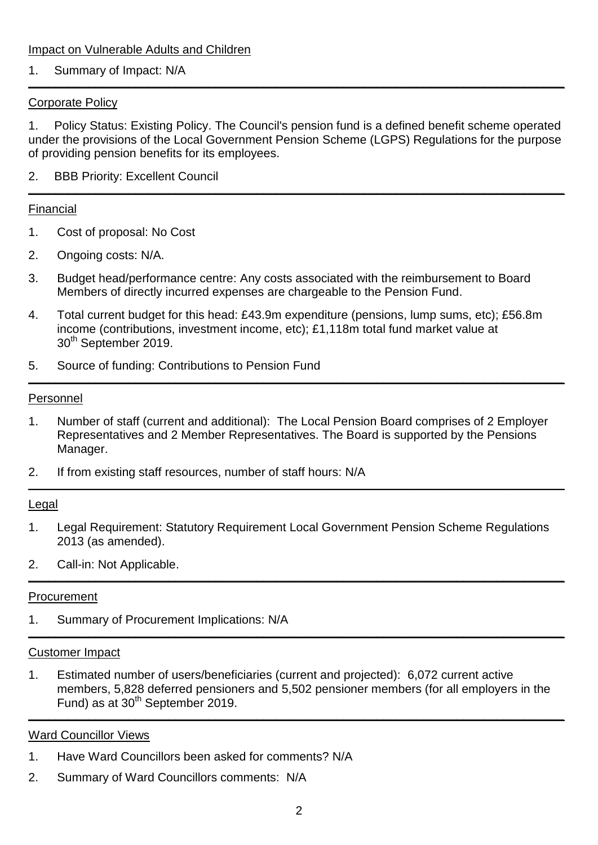Impact on Vulnerable Adults and Children

#### 1. Summary of Impact: N/A **\_\_\_\_\_\_\_\_\_\_\_\_\_\_\_\_\_\_\_\_\_\_\_\_\_\_\_\_\_\_\_\_\_\_\_\_\_\_\_\_\_\_\_\_\_\_\_\_\_\_\_\_\_\_\_\_\_\_\_\_\_\_\_\_\_\_\_\_\_\_\_\_\_\_\_\_\_\_\_\_**

### Corporate Policy

1. Policy Status: Existing Policy. The Council's pension fund is a defined benefit scheme operated under the provisions of the Local Government Pension Scheme (LGPS) Regulations for the purpose of providing pension benefits for its employees.

2. BBB Priority: Excellent Council **\_\_\_\_\_\_\_\_\_\_\_\_\_\_\_\_\_\_\_\_\_\_\_\_\_\_\_\_\_\_\_\_\_\_\_\_\_\_\_\_\_\_\_\_\_\_\_\_\_\_\_\_\_\_\_\_\_\_\_\_\_\_\_\_\_\_\_\_\_\_\_\_\_\_\_\_\_\_\_\_**

### Financial

- 1. Cost of proposal: No Cost
- 2. Ongoing costs: N/A.
- 3. Budget head/performance centre: Any costs associated with the reimbursement to Board Members of directly incurred expenses are chargeable to the Pension Fund.
- 4. Total current budget for this head: £43.9m expenditure (pensions, lump sums, etc); £56.8m income (contributions, investment income, etc); £1,118m total fund market value at 30th September 2019.
- 5. Source of funding: Contributions to Pension Fund **\_\_\_\_\_\_\_\_\_\_\_\_\_\_\_\_\_\_\_\_\_\_\_\_\_\_\_\_\_\_\_\_\_\_\_\_\_\_\_\_\_\_\_\_\_\_\_\_\_\_\_\_\_\_\_\_\_\_\_\_\_\_\_\_\_\_\_\_\_\_\_\_\_\_\_\_\_\_\_\_**

#### Personnel

- 1. Number of staff (current and additional): The Local Pension Board comprises of 2 Employer Representatives and 2 Member Representatives. The Board is supported by the Pensions Manager.
- 2. If from existing staff resources, number of staff hours: N/A **\_\_\_\_\_\_\_\_\_\_\_\_\_\_\_\_\_\_\_\_\_\_\_\_\_\_\_\_\_\_\_\_\_\_\_\_\_\_\_\_\_\_\_\_\_\_\_\_\_\_\_\_\_\_\_\_\_\_\_\_\_\_\_\_\_\_\_\_\_\_\_\_\_\_\_\_\_\_\_\_**

#### Legal

- 1. Legal Requirement: Statutory Requirement Local Government Pension Scheme Regulations 2013 (as amended).
- 2. Call-in: Not Applicable. **\_\_\_\_\_\_\_\_\_\_\_\_\_\_\_\_\_\_\_\_\_\_\_\_\_\_\_\_\_\_\_\_\_\_\_\_\_\_\_\_\_\_\_\_\_\_\_\_\_\_\_\_\_\_\_\_\_\_\_\_\_\_\_\_\_\_\_\_\_\_\_\_\_\_\_\_\_\_\_\_**

#### **Procurement**

1. Summary of Procurement Implications: N/A **\_\_\_\_\_\_\_\_\_\_\_\_\_\_\_\_\_\_\_\_\_\_\_\_\_\_\_\_\_\_\_\_\_\_\_\_\_\_\_\_\_\_\_\_\_\_\_\_\_\_\_\_\_\_\_\_\_\_\_\_\_\_\_\_\_\_\_\_\_\_\_\_\_\_\_\_\_\_\_\_**

#### Customer Impact

1. Estimated number of users/beneficiaries (current and projected): 6,072 current active members, 5,828 deferred pensioners and 5,502 pensioner members (for all employers in the Fund) as at 30th September 2019. **\_\_\_\_\_\_\_\_\_\_\_\_\_\_\_\_\_\_\_\_\_\_\_\_\_\_\_\_\_\_\_\_\_\_\_\_\_\_\_\_\_\_\_\_\_\_\_\_\_\_\_\_\_\_\_\_\_\_\_\_\_\_\_\_\_\_\_\_\_\_\_\_\_\_\_\_\_\_\_\_**

### Ward Councillor Views

- 1. Have Ward Councillors been asked for comments? N/A
- 2. Summary of Ward Councillors comments: N/A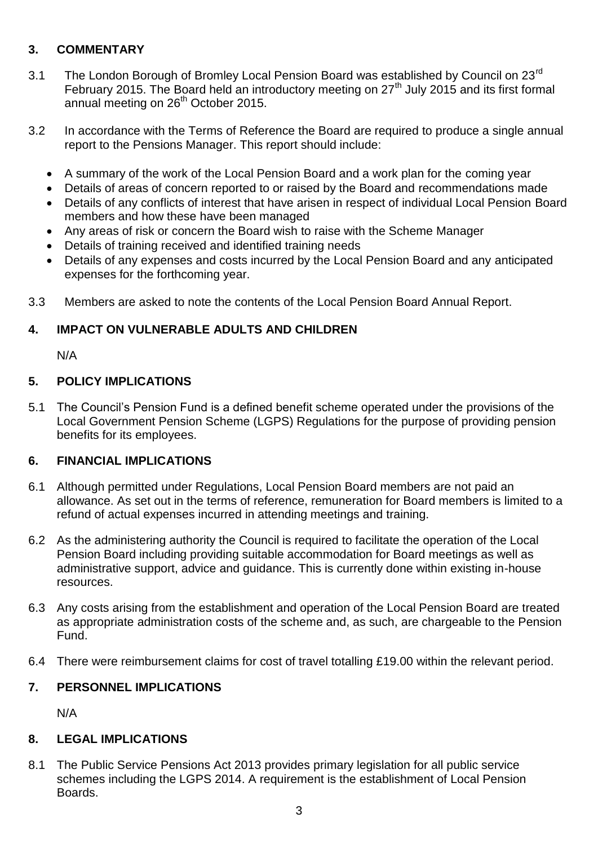# **3. COMMENTARY**

- 3.1 The London Borough of Bromley Local Pension Board was established by Council on 23<sup>rd</sup> February 2015. The Board held an introductory meeting on  $27<sup>th</sup>$  July 2015 and its first formal annual meeting on 26<sup>th</sup> October 2015.
- 3.2 In accordance with the Terms of Reference the Board are required to produce a single annual report to the Pensions Manager. This report should include:
	- A summary of the work of the Local Pension Board and a work plan for the coming year
	- Details of areas of concern reported to or raised by the Board and recommendations made
	- Details of any conflicts of interest that have arisen in respect of individual Local Pension Board members and how these have been managed
	- Any areas of risk or concern the Board wish to raise with the Scheme Manager
	- Details of training received and identified training needs
	- Details of any expenses and costs incurred by the Local Pension Board and any anticipated expenses for the forthcoming year.
- 3.3 Members are asked to note the contents of the Local Pension Board Annual Report.

## **4. IMPACT ON VULNERABLE ADULTS AND CHILDREN**

N/A

## **5. POLICY IMPLICATIONS**

5.1 The Council's Pension Fund is a defined benefit scheme operated under the provisions of the Local Government Pension Scheme (LGPS) Regulations for the purpose of providing pension benefits for its employees.

## **6. FINANCIAL IMPLICATIONS**

- 6.1 Although permitted under Regulations, Local Pension Board members are not paid an allowance. As set out in the terms of reference, remuneration for Board members is limited to a refund of actual expenses incurred in attending meetings and training.
- 6.2 As the administering authority the Council is required to facilitate the operation of the Local Pension Board including providing suitable accommodation for Board meetings as well as administrative support, advice and guidance. This is currently done within existing in-house resources.
- 6.3 Any costs arising from the establishment and operation of the Local Pension Board are treated as appropriate administration costs of the scheme and, as such, are chargeable to the Pension Fund.
- 6.4 There were reimbursement claims for cost of travel totalling £19.00 within the relevant period.

### **7. PERSONNEL IMPLICATIONS**

N/A

## **8. LEGAL IMPLICATIONS**

8.1 The Public Service Pensions Act 2013 provides primary legislation for all public service schemes including the LGPS 2014. A requirement is the establishment of Local Pension Boards.